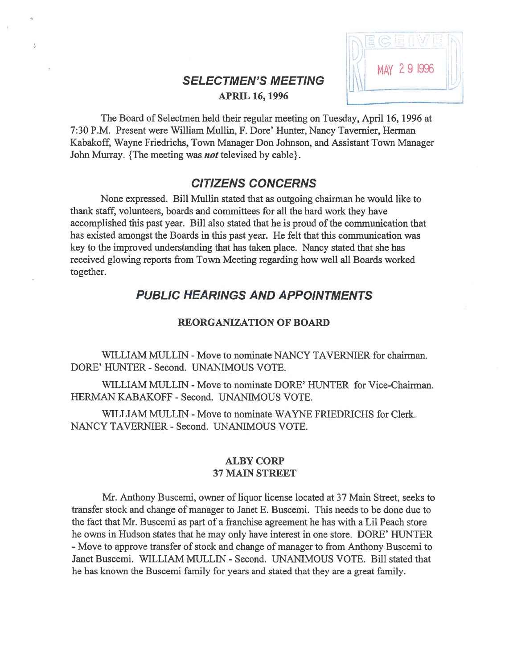# SELECTMEN'S MEETING<br>APRIL 16, 1996



The Board of Selectmen held their regular meeting on Tuesday, April 16, 1996 at 7:30 P.M. Present were William Mullin, F. Dore' Hunter, Nancy Tavemier, Herman Kabakoff, Wayne friedrichs, Town Manager Don Johnson, and Assistant Town Manager John Murray. {The meeting was *not* televised by cable}.

# CITIZENS CONCERNS

None expressed. Bill Mullin stated that as outgoing chairman he would like to thank staff, volunteers, boards and committees for all the hard work they have accomplished this past year. Bill also stated that he is proud of the communication that has existed amongs<sup>t</sup> the Boards in this pas<sup>t</sup> year. He felt that this communication was key to the improved understanding that has taken place. Nancy stated that she has received glowing reports from Town Meeting regarding how well all Boards worked together.

# PUBLIC HEARINGS AND APPOINTMENTS

## REORGANIZATION OF BOARD

WILLIAM MULLIN - Move to nominate NANCY TAVERNIER for chairman. DORE' HUNTER - Second. UNANIMOUS VOTE.

WILLIAM MULLIN - Move to nominate DORE' HUNTER for Vice-Chairman. HERMAN KABAKOFF - Second. UNANIMOUS VOTE.

WILLIAM MULLIN - Move to nominate WAYNE FRIEDRICHS for Clerk. NANCY TAVERNIER -Second. UNANIMOUS VOTE.

## ALBY CORP 37 MAIN STREET

Mr. Anthony Buscemi, owner of liquor license located at 37 Main Street, seeks to transfer stock and change of manager to Janet E. Buscemi. This needs to be done due to the fact that Mr. Buscemi as par<sup>t</sup> of <sup>a</sup> franchise agreemen<sup>t</sup> he has with <sup>a</sup> Lil Peach store he owns in Hudson states that he may only have interest in one store. DORE' HUNTER -Move to approve transfer of stock and change of manager to from Anthony Buscemi to Janet Buscemi. WILLIAM MULLIN - Second. UNANIMOUS VOTE. Bill stated that he has known the Buscemi family for years and stated that they are <sup>a</sup> grea<sup>t</sup> family.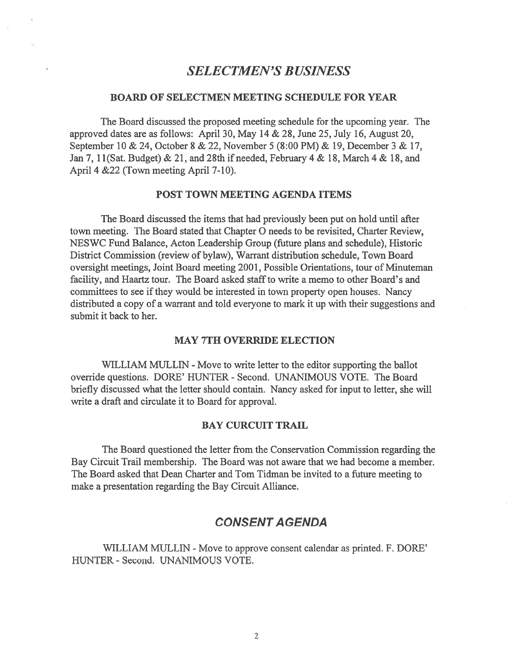# SELECTMEN'S BUSINESS

## BOARD OF SELECTMEN MEETING SCHEDULE FOR YEAR

The Board discussed the proposed meeting schedule for the upcoming year. The approved dates are as follows: April 30, May 14 & 28, June 25, July 16, August 20, September 10 & 24, October \$ & 22, November 5 (8:00 PM) & 19, December 3 & 17, Jan 7, 1 1(Sat. Budget) & 21, and 28th if needed, February 4 & 18, March 4 & 1\$, and April 4 &22 (Town meeting April 7-10).

## POST TOWN MEETING AGENDA ITEMS

The Board discussed the items that had previously been pu<sup>t</sup> on hold until after town meeting. The Board stated that Chapter 0 needs to be revisited, Charter Review, NESWC Fund Balance, Acton Leadership Group (future plans and schedule), Historic District Commission (review of bylaw), Warrant distribution schedule, Town Board oversight meetings, Joint Board meeting 2001, Possible Orientations, tour of Minuteman facility, and Haartz tour. The Board asked staff to write <sup>a</sup> memo to other Board's and committees to see ifthey would be interested in town property open houses. Nancy distributed <sup>a</sup> copy of <sup>a</sup> warrant and told everyone to mark it up with their suggestions and submit it back to her.

#### MAY 7TH OVERRIDE ELECTION

WILLIAM MULLIN - Move to write letter to the editor supporting the ballot override questions. DORE' HUNTER - Second. UNANIMOUS VOTE. The Board briefly discussed what the letter should contain. Nancy asked for input to letter, she will write <sup>a</sup> draft and circulate it to Board for approval.

## BAY CURCUIT TRAIL

The Board questioned the letter from the Conservation Commission regarding the Bay Circuit Trail membership. The Board was not aware that we had become <sup>a</sup> member. The Board asked that Dean Charter and Tom Tidman be invited to <sup>a</sup> future meeting to make <sup>a</sup> presentation regarding the Bay Circuit Alliance.

## CONSENT A GENDA

WILLIAM MULLIN - Move to approve consent calendar as printed. F. DORE' HUNTER - Second. UNANIMOUS VOTE.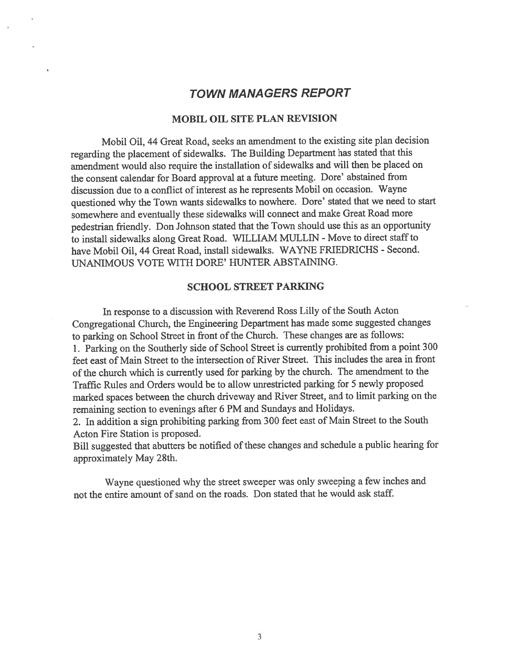# TOWN MANAGERS REPORT

#### MOBIL OIL SITE PLAN REVISION

Mobil Oil, <sup>44</sup> Great Road, seeks an amendment to the existing site <sup>p</sup>lan decision regarding the <sup>p</sup>lacement of sidewalks. The Building Department has stated that this amendment would also require the installation of sidewalks and will then be <sup>p</sup>laced on the consent calendar for Board approva<sup>l</sup> at <sup>a</sup> future meeting. Dore' abstained from discussion due to <sup>a</sup> conflict of interest as he represents Mobil on occasion. Wayne questioned why the Town wants sidewalks to nowhere. Dore' stated that we need to start somewhere and eventually these sidewalks will connect and make Great Road more pedestrian friendly. Don Johnson stated that the Town should use this as an opportunity to install sidewalks along Great Road. WILLIAM MULLIN - Move to direct staff to have Mobil Oil, 44 Great Road, install sidewalks. WAYNE FRIEDRICHS - Second. UNANIMOUS VOTE WITH DORE' HUNTER ABSTANING.

#### SCHOOL STREET PARKING

In response to a discussion with Reverend Ross Lilly of the South Acton Congregational Church, the Engineering Department has made some suggested changes to parking on School Street in front of the Church. These changes are as follows: 1. Parking on the Southerly side of School Street is currently prohibited from <sup>a</sup> point <sup>300</sup> feet east of Main Street to the intersection of River Street. This includes the area in front of the church which is currently used for parking by the church. The amendment to the Traffic Rules and Orders would be to allow unrestricted parking for 5 newly proposed marked spaces between the church driveway and River Street, and to limit parking on the remaining section to evenings after <sup>6</sup> PM and Sundays and Holidays.

2. In addition <sup>a</sup> sign prohibiting parking from <sup>300</sup> feet east of Main Street to the South Acton fire Station is proposed.

Bill suggested that abutters be notified of these changes and schedule a public hearing for approximately May 28th.

Wayne questioned why the street sweeper was only sweeping <sup>a</sup> few inches and not the entire amount of sand on the roads. Don stated that he would ask staff.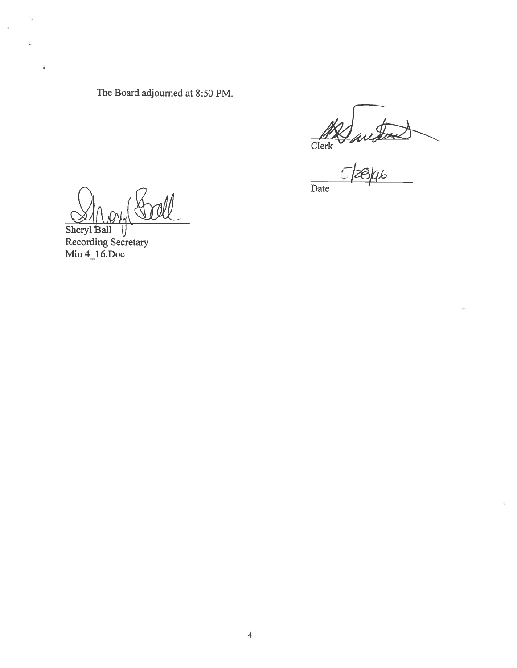The Board adjourned at 8:50 PM.

Date

Sheryl Ball <sup>1</sup><br>Recording Secretary Min 4\_16.Doc

¥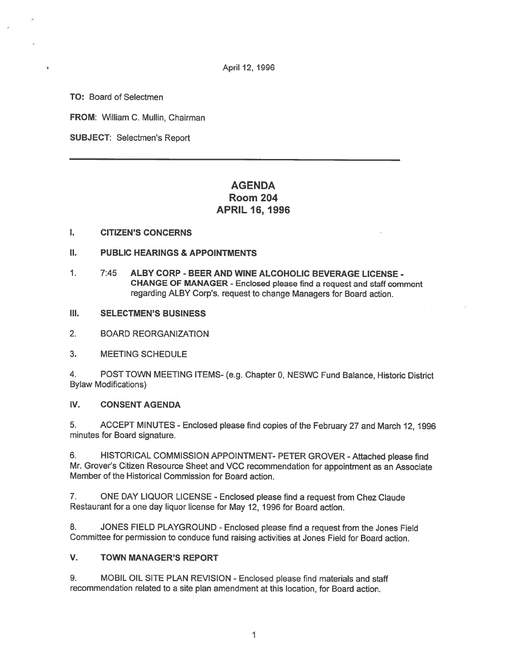April 12, 1996

TO: Board of Selectmen

FROM: William C. Mullin, Chairman

SUBJECT: Selectmen's Report

# AGENDA Room 204 APRIL 16, 1996

### I. CITIZEN'S CONCERNS

- II. PUBLIC HEARINGS & APPOINTMENTS
- 1. 7:45 ALBY CORP BEER AND WINE ALCOHOLIC BEVERAGE LICENSE CHANGE OF MANAGER -Enclosed <sup>p</sup>lease find <sup>a</sup> reques<sup>t</sup> and staff comment regarding ALBY Corp's. reques<sup>t</sup> to change Managers for Board action.
- III. SELECTMEN'S BUSINESS

2. BOARD REORGANIZATION

3. MEETING SCHEDULE

4. POST TOWN MEETING ITEMS- (e.g. Chapter 0, NESWC Fund Balance, Historic District Bylaw Modifications)

## IV. CONSENT AGENDA

5. ACCEPT MINUTES - Enclosed <sup>p</sup>lease find copies of the February <sup>27</sup> and March 12, <sup>1996</sup> minutes for Board signature.

6. HISTORICAL COMMISSION APPOINTMENT- PETER GROVER -Attached <sup>p</sup>lease find Mr. Grover's Citizen Resource Sheet and VCC recommendation for appointment as an Associate Member of the Historical Commission for Board action.

7. ONE DAY LIQUOR LICENSE -Enclosed <sup>p</sup>lease find <sup>a</sup> reques<sup>t</sup> from Chez Claude Restaurant for <sup>a</sup> one day liquor license for May 12, 1996 for Board action.

8. JONES FIELD PLAYGROUND -Enclosed <sup>p</sup>lease find <sup>a</sup> reques<sup>t</sup> from the Jones Field Committee for permission to conduce fund raising activities at Jones Field for Board action.

## V. TOWN MANAGER'S REPORT

9. MOBIL OIL SITE PLAN REVISION -Enclosed please find materials and staff recommendation related to <sup>a</sup> site plan amendment at this location, for Board action.